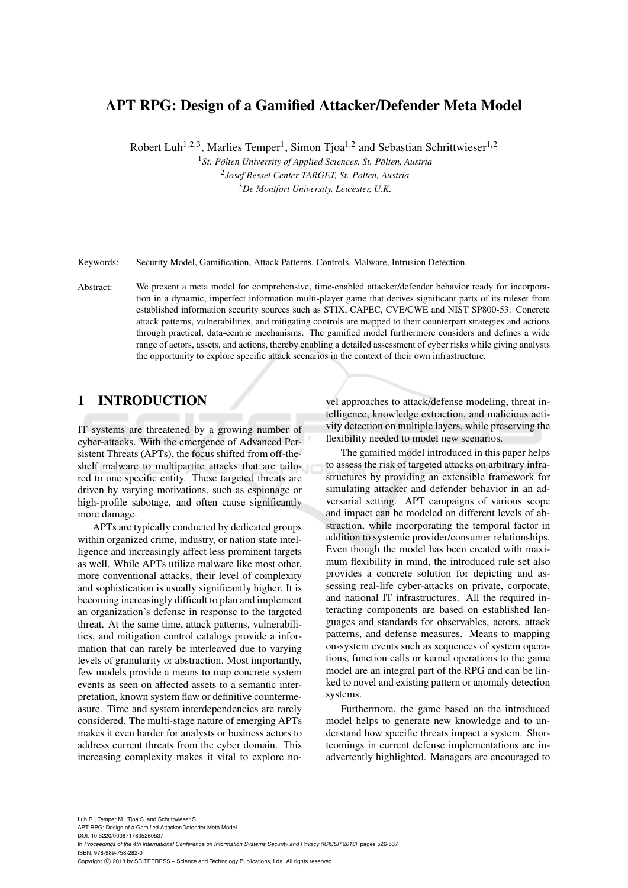# APT RPG: Design of a Gamified Attacker/Defender Meta Model

Robert Luh<sup>1,2,3</sup>, Marlies Temper<sup>1</sup>, Simon Tjoa<sup>1,2</sup> and Sebastian Schrittwieser<sup>1,2</sup>

<sup>1</sup> St. Pölten University of Applied Sciences, St. Pölten, Austria 2 *Josef Ressel Center TARGET, St. Polten, Austria ¨* <sup>3</sup>*De Montfort University, Leicester, U.K.*

Keywords: Security Model, Gamification, Attack Patterns, Controls, Malware, Intrusion Detection.

Abstract: We present a meta model for comprehensive, time-enabled attacker/defender behavior ready for incorporation in a dynamic, imperfect information multi-player game that derives significant parts of its ruleset from established information security sources such as STIX, CAPEC, CVE/CWE and NIST SP800-53. Concrete attack patterns, vulnerabilities, and mitigating controls are mapped to their counterpart strategies and actions through practical, data-centric mechanisms. The gamified model furthermore considers and defines a wide range of actors, assets, and actions, thereby enabling a detailed assessment of cyber risks while giving analysts the opportunity to explore specific attack scenarios in the context of their own infrastructure.

# 1 INTRODUCTION

IT systems are threatened by a growing number of cyber-attacks. With the emergence of Advanced Persistent Threats (APTs), the focus shifted from off-theshelf malware to multipartite attacks that are tailored to one specific entity. These targeted threats are driven by varying motivations, such as espionage or high-profile sabotage, and often cause significantly more damage.

APTs are typically conducted by dedicated groups within organized crime, industry, or nation state intelligence and increasingly affect less prominent targets as well. While APTs utilize malware like most other, more conventional attacks, their level of complexity and sophistication is usually significantly higher. It is becoming increasingly difficult to plan and implement an organization's defense in response to the targeted threat. At the same time, attack patterns, vulnerabilities, and mitigation control catalogs provide a information that can rarely be interleaved due to varying levels of granularity or abstraction. Most importantly, few models provide a means to map concrete system events as seen on affected assets to a semantic interpretation, known system flaw or definitive countermeasure. Time and system interdependencies are rarely considered. The multi-stage nature of emerging APTs makes it even harder for analysts or business actors to address current threats from the cyber domain. This increasing complexity makes it vital to explore no-

vel approaches to attack/defense modeling, threat intelligence, knowledge extraction, and malicious activity detection on multiple layers, while preserving the flexibility needed to model new scenarios.

The gamified model introduced in this paper helps to assess the risk of targeted attacks on arbitrary infrastructures by providing an extensible framework for simulating attacker and defender behavior in an adversarial setting. APT campaigns of various scope and impact can be modeled on different levels of abstraction, while incorporating the temporal factor in addition to systemic provider/consumer relationships. Even though the model has been created with maximum flexibility in mind, the introduced rule set also provides a concrete solution for depicting and assessing real-life cyber-attacks on private, corporate, and national IT infrastructures. All the required interacting components are based on established languages and standards for observables, actors, attack patterns, and defense measures. Means to mapping on-system events such as sequences of system operations, function calls or kernel operations to the game model are an integral part of the RPG and can be linked to novel and existing pattern or anomaly detection systems.

Furthermore, the game based on the introduced model helps to generate new knowledge and to understand how specific threats impact a system. Shortcomings in current defense implementations are inadvertently highlighted. Managers are encouraged to

Luh R., Temper M., Tjoa S. and Schrittwieser S. APT RPG: Design of a Gamified Attacker/Defender Meta Model. DOI: 10.5220/0006717805260537 In *Proceedings of the 4th International Conference on Information Systems Security and Privacy (ICISSP 2018)*, pages 526-537 ISBN: 978-989-758-282-0 Copyright © 2018 by SCITEPRESS - Science and Technology Publications, Lda. All rights reserved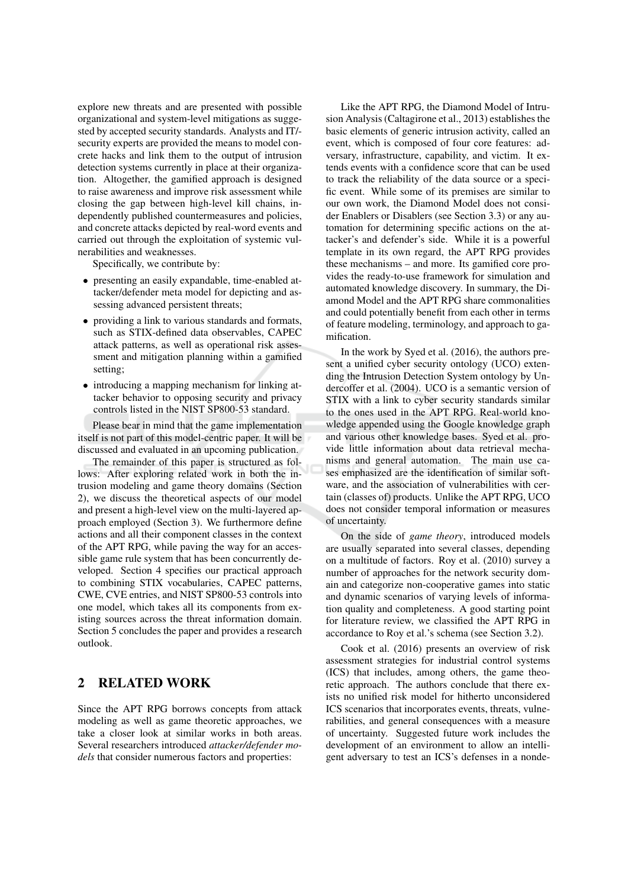explore new threats and are presented with possible organizational and system-level mitigations as suggested by accepted security standards. Analysts and IT/security experts are provided the means to model concrete hacks and link them to the output of intrusion detection systems currently in place at their organization. Altogether, the gamified approach is designed to raise awareness and improve risk assessment while closing the gap between high-level kill chains, independently published countermeasures and policies, and concrete attacks depicted by real-word events and carried out through the exploitation of systemic vulnerabilities and weaknesses.

Specifically, we contribute by:

- presenting an easily expandable, time-enabled attacker/defender meta model for depicting and assessing advanced persistent threats;
- providing a link to various standards and formats, such as STIX-defined data observables, CAPEC attack patterns, as well as operational risk assessment and mitigation planning within a gamified setting:
- introducing a mapping mechanism for linking attacker behavior to opposing security and privacy controls listed in the NIST SP800-53 standard.

Please bear in mind that the game implementation itself is not part of this model-centric paper. It will be discussed and evaluated in an upcoming publication.

The remainder of this paper is structured as follows: After exploring related work in both the intrusion modeling and game theory domains (Section 2), we discuss the theoretical aspects of our model and present a high-level view on the multi-layered approach employed (Section 3). We furthermore define actions and all their component classes in the context of the APT RPG, while paving the way for an accessible game rule system that has been concurrently developed. Section 4 specifies our practical approach to combining STIX vocabularies, CAPEC patterns, CWE, CVE entries, and NIST SP800-53 controls into one model, which takes all its components from existing sources across the threat information domain. Section 5 concludes the paper and provides a research  $\omega$ tlook

#### $\mathbf{2}$ **RELATED WORK**

Since the APT RPG borrows concepts from attack modeling as well as game theoretic approaches, we take a closer look at similar works in both areas. Several researchers introduced attacker/defender mo*dels* that consider numerous factors and properties:

Like the APT RPG, the Diamond Model of Intrusion Analysis (Caltagirone et al., 2013) establishes the basic elements of generic intrusion activity, called an event, which is composed of four core features: adversary, infrastructure, capability, and victim. It extends events with a confidence score that can be used to track the reliability of the data source or a specific event. While some of its premises are similar to our own work, the Diamond Model does not consider Enablers or Disablers (see Section 3.3) or any automation for determining specific actions on the attacker's and defender's side. While it is a powerful template in its own regard, the APT RPG provides these mechanisms – and more. Its gamified core provides the ready-to-use framework for simulation and automated knowledge discovery. In summary, the Diamond Model and the APT RPG share commonalities and could potentially benefit from each other in terms of feature modeling, terminology, and approach to gamification.

In the work by Syed et al. (2016), the authors present a unified cyber security ontology (UCO) extending the Intrusion Detection System ontology by Undercoffer et al. (2004). UCO is a semantic version of STIX with a link to cyber security standards similar to the ones used in the APT RPG. Real-world knowledge appended using the Google knowledge graph and various other knowledge bases. Syed et al. provide little information about data retrieval mechanisms and general automation. The main use cases emphasized are the identification of similar software, and the association of vulnerabilities with certain (classes of) products. Unlike the APT RPG, UCO does not consider temporal information or measures of uncertainty.

On the side of *game theory*, introduced models are usually separated into several classes, depending on a multitude of factors. Roy et al. (2010) survey a number of approaches for the network security domain and categorize non-cooperative games into static and dynamic scenarios of varying levels of information quality and completeness. A good starting point for literature review, we classified the APT RPG in accordance to Roy et al.'s schema (see Section 3.2).

Cook et al. (2016) presents an overview of risk assessment strategies for industrial control systems (ICS) that includes, among others, the game theoretic approach. The authors conclude that there exists no unified risk model for hitherto unconsidered ICS scenarios that incorporates events, threats, vulnerabilities, and general consequences with a measure of uncertainty. Suggested future work includes the development of an environment to allow an intelligent adversary to test an ICS's defenses in a nonde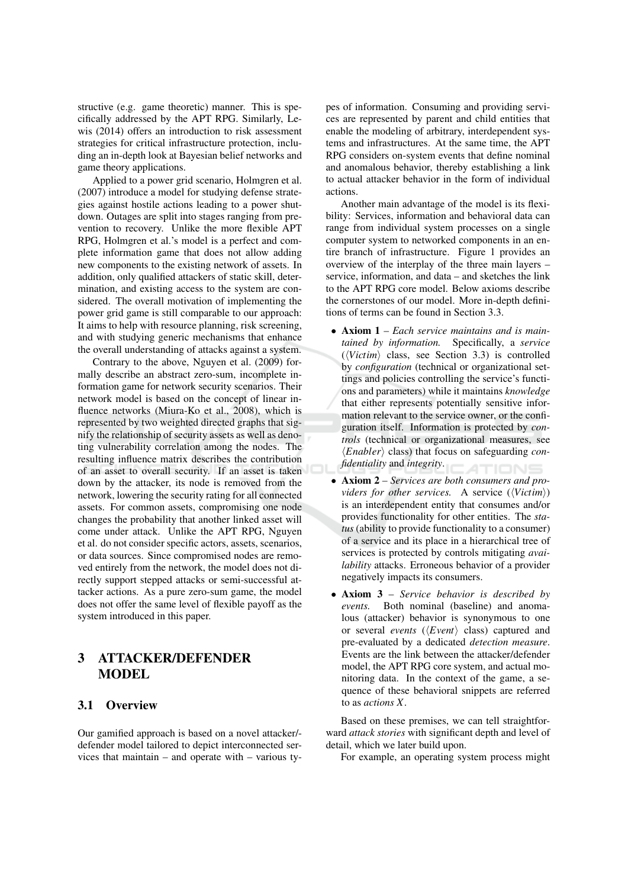structive (e.g. game theoretic) manner. This is specifically addressed by the APT RPG. Similarly, Lewis (2014) offers an introduction to risk assessment strategies for critical infrastructure protection, including an in-depth look at Bayesian belief networks and game theory applications.

Applied to a power grid scenario, Holmgren et al. (2007) introduce a model for studying defense strategies against hostile actions leading to a power shutdown. Outages are split into stages ranging from prevention to recovery. Unlike the more flexible APT RPG, Holmgren et al.'s model is a perfect and complete information game that does not allow adding new components to the existing network of assets. In addition, only qualified attackers of static skill, determination, and existing access to the system are considered. The overall motivation of implementing the power grid game is still comparable to our approach: It aims to help with resource planning, risk screening, and with studying generic mechanisms that enhance the overall understanding of attacks against a system.

Contrary to the above, Nguyen et al. (2009) formally describe an abstract zero-sum, incomplete information game for network security scenarios. Their network model is based on the concept of linear influence networks (Miura-Ko et al., 2008), which is represented by two weighted directed graphs that signify the relationship of security assets as well as denoting vulnerability correlation among the nodes. The resulting influence matrix describes the contribution of an asset to overall security. If an asset is taken down by the attacker, its node is removed from the network, lowering the security rating for all connected assets. For common assets, compromising one node changes the probability that another linked asset will come under attack. Unlike the APT RPG, Nguyen et al. do not consider specific actors, assets, scenarios, or data sources. Since compromised nodes are removed entirely from the network, the model does not directly support stepped attacks or semi-successful attacker actions. As a pure zero-sum game, the model does not offer the same level of flexible payoff as the system introduced in this paper.

### 3 **ATTACKER/DEFENDER MODEL**

### 3.1 Overview

Our gamified approach is based on a novel attacker/defender model tailored to depict interconnected services that maintain  $-$  and operate with  $-$  various types of information. Consuming and providing services are represented by parent and child entities that enable the modeling of arbitrary, interdependent systems and infrastructures. At the same time, the APT RPG considers on-system events that define nominal and anomalous behavior, thereby establishing a link to actual attacker behavior in the form of individual actions.

Another main advantage of the model is its flexibility: Services, information and behavioral data can range from individual system processes on a single computer system to networked components in an entire branch of infrastructure. Figure 1 provides an overview of the interplay of the three main layers service, information, and data – and sketches the link to the APT RPG core model. Below axioms describe the cornerstones of our model. More in-depth definitions of terms can be found in Section 3.3.

- Axiom  $1$  Each service maintains and is maintained by information. Specifically, a service  $(\forall Victim)$  class, see Section 3.3) is controlled by *configuration* (technical or organizational settings and policies controlling the service's functions and parameters) while it maintains knowledge that either represents potentially sensitive information relevant to the service owner, or the configuration itself. Information is protected by controls (technical or organizational measures, see  $\langle Endler \rangle$  class) that focus on safeguarding con*fidentiality* and *integrity*.
- Axiom  $2$  Services are both consumers and providers for other services. A service  $(\langle Victim \rangle)$ is an interdependent entity that consumes and/or provides functionality for other entities. The status (ability to provide functionality to a consumer) of a service and its place in a hierarchical tree of services is protected by controls mitigating *avai*lability attacks. Erroneous behavior of a provider negatively impacts its consumers.
- Axiom  $3$  Service behavior is described by Both nominal (baseline) and anomaevents. lous (attacker) behavior is synonymous to one or several *events* ( $\langle Event \rangle$  class) captured and pre-evaluated by a dedicated *detection measure*. Events are the link between the attacker/defender model, the APT RPG core system, and actual monitoring data. In the context of the game, a sequence of these behavioral snippets are referred to as *actions*  $X$

Based on these premises, we can tell straightforward attack stories with significant depth and level of detail, which we later build upon.

For example, an operating system process might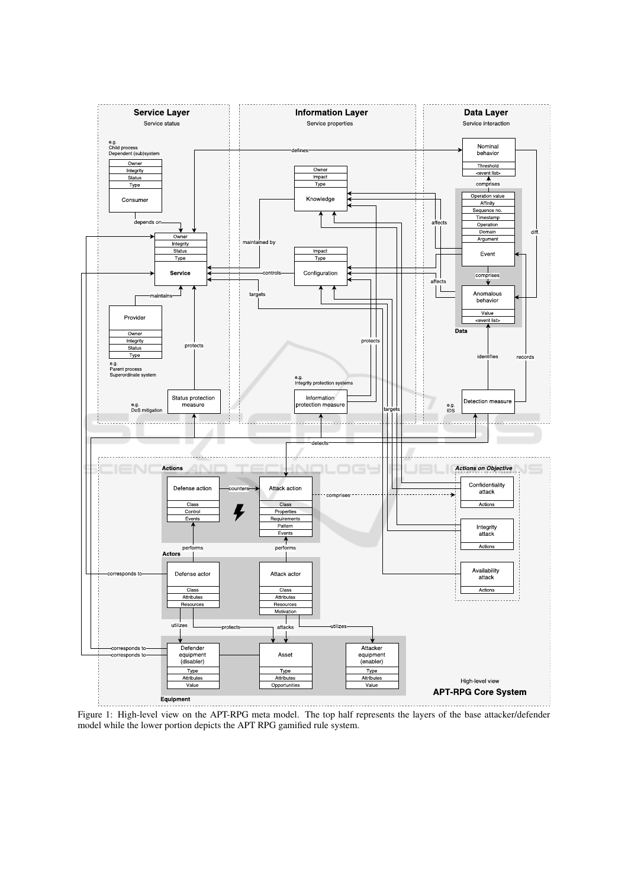

Figure 1: High-level view on the APT-RPG meta model. The top half represents the layers of the base attacker/defender model while the lower portion depicts the APT RPG gamified rule system.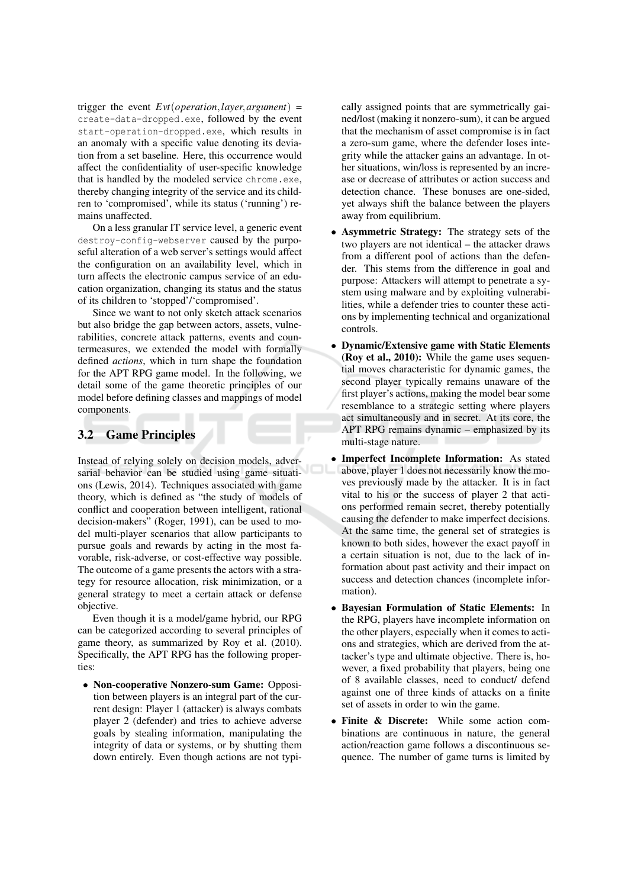trigger the event  $Evt(operation, layer, argument)$  = create-data-dropped.exe, followed by the event start-operation-dropped.exe, which results in an anomaly with a specific value denoting its deviation from a set baseline. Here, this occurrence would affect the confidentiality of user-specific knowledge that is handled by the modeled service chrome.exe, thereby changing integrity of the service and its children to 'compromised', while its status ('running') remains unaffected.

On a less granular IT service level, a generic event destroy-config-webserver caused by the purposeful alteration of a web server's settings would affect the configuration on an availability level, which in turn affects the electronic campus service of an education organization, changing its status and the status of its children to 'stopped'/'compromised'.

Since we want to not only sketch attack scenarios but also bridge the gap between actors, assets, vulnerabilities, concrete attack patterns, events and countermeasures, we extended the model with formally defined *actions*, which in turn shape the foundation for the APT RPG game model. In the following, we detail some of the game theoretic principles of our model before defining classes and mappings of model components.

#### $3.2$ **Game Principles**

Instead of relying solely on decision models, adversarial behavior can be studied using game situations (Lewis, 2014). Techniques associated with game theory, which is defined as "the study of models of conflict and cooperation between intelligent, rational decision-makers" (Roger, 1991), can be used to model multi-player scenarios that allow participants to pursue goals and rewards by acting in the most favorable, risk-adverse, or cost-effective way possible. The outcome of a game presents the actors with a strategy for resource allocation, risk minimization, or a general strategy to meet a certain attack or defense objective.

Even though it is a model/game hybrid, our RPG can be categorized according to several principles of game theory, as summarized by Roy et al. (2010). Specifically, the APT RPG has the following properties:

• Non-cooperative Nonzero-sum Game: Opposition between players is an integral part of the current design: Player 1 (attacker) is always combats player 2 (defender) and tries to achieve adverse goals by stealing information, manipulating the integrity of data or systems, or by shutting them down entirely. Even though actions are not typically assigned points that are symmetrically gained/lost (making it nonzero-sum), it can be argued that the mechanism of asset compromise is in fact a zero-sum game, where the defender loses integrity while the attacker gains an advantage. In other situations, win/loss is represented by an increase or decrease of attributes or action success and detection chance. These bonuses are one-sided, yet always shift the balance between the players away from equilibrium.

- Asymmetric Strategy: The strategy sets of the two players are not identical – the attacker draws from a different pool of actions than the defender. This stems from the difference in goal and purpose: Attackers will attempt to penetrate a system using malware and by exploiting vulnerabilities, while a defender tries to counter these actions by implementing technical and organizational controls.
- Dynamic/Extensive game with Static Elements (Roy et al., 2010): While the game uses sequential moves characteristic for dynamic games, the second player typically remains unaware of the first player's actions, making the model bear some resemblance to a strategic setting where players act simultaneously and in secret. At its core, the APT RPG remains dynamic – emphasized by its multi-stage nature.
- Imperfect Incomplete Information: As stated above, player 1 does not necessarily know the moves previously made by the attacker. It is in fact vital to his or the success of player 2 that actions performed remain secret, thereby potentially causing the defender to make imperfect decisions. At the same time, the general set of strategies is known to both sides, however the exact payoff in a certain situation is not, due to the lack of information about past activity and their impact on success and detection chances (incomplete information).
- Bayesian Formulation of Static Elements: In the RPG, players have incomplete information on the other players, especially when it comes to actions and strategies, which are derived from the attacker's type and ultimate objective. There is, however, a fixed probability that players, being one of 8 available classes, need to conduct/ defend against one of three kinds of attacks on a finite set of assets in order to win the game.
- Finite & Discrete: While some action combinations are continuous in nature, the general action/reaction game follows a discontinuous sequence. The number of game turns is limited by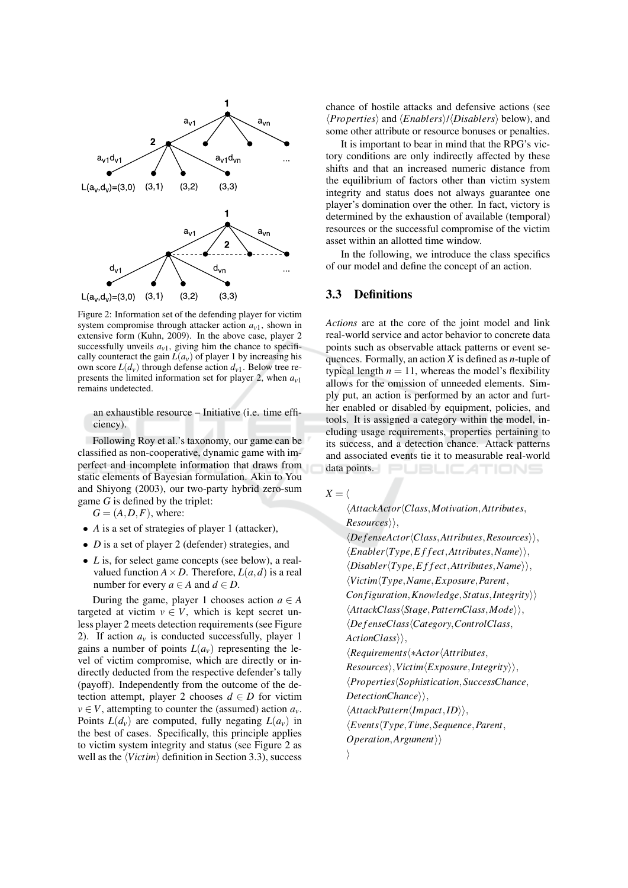

Figure 2: Information set of the defending player for victim system compromise through attacker action  $a_{v1}$ , shown in extensive form (Kuhn, 2009). In the above case, player 2 successfully unveils  $a_{v1}$ , giving him the chance to specifically counteract the gain  $L(a_v)$  of player 1 by increasing his own score  $L(d_v)$  through defense action  $d_{v1}$ . Below tree represents the limited information set for player 2, when  $a_{v1}$ remains undetected.

an exhaustible resource - Initiative (i.e. time efficiency).

Following Roy et al.'s taxonomy, our game can be classified as non-cooperative, dynamic game with imperfect and incomplete information that draws from static elements of Bayesian formulation. Akin to You and Shiyong (2003), our two-party hybrid zero-sum game  $G$  is defined by the triplet:

 $G = (A, D, F)$ , where:

- $\bullet$  A is a set of strategies of player 1 (attacker),
- $D$  is a set of player 2 (defender) strategies, and
- $\bullet$  *L* is, for select game concepts (see below), a realvalued function  $A \times D$ . Therefore,  $L(a, d)$  is a real number for every  $a \in A$  and  $d \in D$ .

During the game, player 1 chooses action  $a \in A$ targeted at victim  $v \in V$ , which is kept secret unless player 2 meets detection requirements (see Figure 2). If action  $a<sub>v</sub>$  is conducted successfully, player 1 gains a number of points  $L(a_v)$  representing the level of victim compromise, which are directly or indirectly deducted from the respective defender's tally (payoff). Independently from the outcome of the detection attempt, player 2 chooses  $d \in D$  for victim  $v \in V$ , attempting to counter the (assumed) action  $a_v$ . Points  $L(d_v)$  are computed, fully negating  $L(a_v)$  in the best of cases. Specifically, this principle applies to victim system integrity and status (see Figure 2 as well as the  $\langle Victor \rangle$  definition in Section 3.3), success chance of hostile attacks and defensive actions (see  $\langle Properties \rangle$  and  $\langle Enables \rangle / \langle Disables \rangle$  below), and some other attribute or resource bonuses or penalties.

It is important to bear in mind that the RPG's victory conditions are only indirectly affected by these shifts and that an increased numeric distance from the equilibrium of factors other than victim system integrity and status does not always guarantee one player's domination over the other. In fact, victory is determined by the exhaustion of available (temporal) resources or the successful compromise of the victim asset within an allotted time window.

In the following, we introduce the class specifics of our model and define the concept of an action.

## 3.3 Definitions

Actions are at the core of the joint model and link real-world service and actor behavior to concrete data points such as observable attack patterns or event sequences. Formally, an action  $X$  is defined as *n*-tuple of typical length  $n = 11$ , whereas the model's flexibility allows for the omission of unneeded elements. Simply put, an action is performed by an actor and further enabled or disabled by equipment, policies, and tools. It is assigned a category within the model, including usage requirements, properties pertaining to its success, and a detection chance. Attack patterns and associated events tie it to measurable real-world data points. PUBLICATIONS

 $X = \langle$ 

\AttackActor\Class,Motivation,Attributes,  $Resources \rangle$ ,

 $\langle Defense Actor\langle Class, Attributes, Resources \rangle \rangle$ ,  $\langle Enabler(Type, Effect, Attributes, Name \rangle \rangle,$  $\langle Disabler \langle Type, Effect, Attributes, Name \rangle \rangle,$  $\langle Victim(Type,Name, Exposure, Parent,$  $Configuration, Knowledge, Status, Integrity\rangle$  $\langle AttackClass \langle Stage, PatternClass, Mode \rangle \rangle$ , *<u>{DefenseClass{Category, ControlClass,</u>*  $ActionClass\rangle,$  $\langle Requirements \langle * Actor \langle Attributes,$  $Resources \rangle$ , Victim $\langle Expasure, Integrity \rangle$ , *<u>{Properties}</u>Sophistication, SuccessChance,*  $DetectionChange\rangle,$  $\langle AttackPattern \langle Impact, ID \rangle \rangle$ ,  $\langle Events(Type, Time, Sequence, Parent,$  $Operator, Argument \rangle$  $\rangle$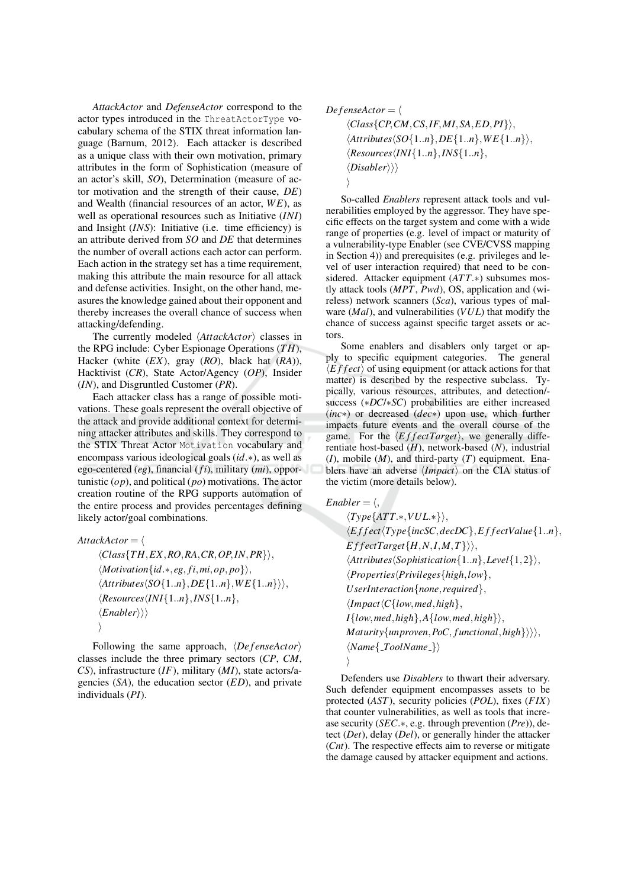AttackActor and DefenseActor correspond to the actor types introduced in the ThreatActorType vocabulary schema of the STIX threat information language (Barnum, 2012). Each attacker is described as a unique class with their own motivation, primary attributes in the form of Sophistication (measure of an actor's skill, SO), Determination (measure of actor motivation and the strength of their cause,  $DE$ ) and Wealth (financial resources of an actor,  $WE$ ), as well as operational resources such as Initiative (INI) and Insight  $(INS)$ : Initiative (i.e. time efficiency) is an attribute derived from SO and DE that determines the number of overall actions each actor can perform. Each action in the strategy set has a time requirement, making this attribute the main resource for all attack and defense activities. Insight, on the other hand, measures the knowledge gained about their opponent and thereby increases the overall chance of success when attacking/defending.

The currently modeled  $\langle Attrack Actor \rangle$  classes in the RPG include: Cyber Espionage Operations  $(TH)$ , Hacker (white  $(EX)$ , gray  $(RO)$ , black hat  $(RA)$ ), Hacktivist (CR), State Actor/Agency (OP), Insider  $(IN)$ , and Disgruntled Customer  $(PR)$ .

Each attacker class has a range of possible motivations. These goals represent the overall objective of the attack and provide additional context for determining attacker attributes and skills. They correspond to the STIX Threat Actor Motivation vocabulary and encompass various ideological goals  $(id.*)$ , as well as ego-centered  $(eg)$ , financial  $(fi)$ , military  $(mi)$ , opportunistic  $(op)$ , and political  $(po)$  motivations. The actor creation routine of the RPG supports automation of the entire process and provides percentages defining likely actor/goal combinations.

AttackActor =  $\langle$  $\langle Class\{TH, EX, RO, RA, CR, OP, IN, PR\}\rangle,$  $\langle Motivation\{id.*, eg, fi, mi, op, po\}\rangle,$  $\langle Attributes \langle SO{1..n}, DE{1..n}, WE{1..n} \rangle \rangle,$  $\langle Resources \langle INI{1..n}, INS{1..n},\right]$  $\langle \textit{Enabler} \rangle \rangle$ 

Following the same approach,  $\langle DefenseActor \rangle$ classes include the three primary sectors  $(CP, CM,$  $CS$ ), infrastructure (IF), military (MI), state actors/agencies  $(SA)$ , the education sector  $(ED)$ , and private individuals  $(PI)$ .

$$
Define {\it fense} Actor = \langle
$$

 $\langle Class\{CP, CM, CS, IF, MI, SA, ED, PI\} \rangle,$  $\langle$ Attributes $\langle SO{1..n}, DE{1..n}, WE{1..n} \rangle$ ,  $\langle Resources \langle INI{1..n}, INS{1..n},\right]$  $\langle Disabler \rangle \rangle$ 

So-called Enablers represent attack tools and vulnerabilities employed by the aggressor. They have specific effects on the target system and come with a wide range of properties (e.g. level of impact or maturity of a vulnerability-type Enabler (see CVE/CVSS mapping in Section 4)) and prerequisites (e.g. privileges and level of user interaction required) that need to be considered. Attacker equipment  $(ATT.*)$  subsumes mostly attack tools  $(MPT, Pwd)$ , OS, application and (wireless) network scanners  $(Sca)$ , various types of malware  $(Mal)$ , and vulnerabilities  $(VUL)$  that modify the chance of success against specific target assets or actors

Some enablers and disablers only target or apply to specific equipment categories. The general  $\langle$  *E f f ect*  $\rangle$  of using equipment (or attack actions for that matter) is described by the respective subclass. Typically, various resources, attributes, and detection/success (\*DC/\*SC) probabilities are either increased  $(inc*)$  or decreased  $(dec*)$  upon use, which further impacts future events and the overall course of the game. For the  $\langle EffectTarget \rangle$ , we generally differentiate host-based  $(H)$ , network-based  $(N)$ , industrial  $(I)$ , mobile  $(M)$ , and third-party  $(T)$  equipment. Enablers have an adverse  $\langle Impact \rangle$  on the CIA status of the victim (more details below).

 $Enabler = \langle, \rangle$ 

 $\langle Type\lbrace ATT.*, VUL.*\rbrace \rangle,$  $\langle E \, f \, \textit{fect} \, \langle \textit{Type} \, \{\textit{incSC}, \textit{decDC}\}, \textit{EffectValue} \, \{1..n\}, \rangle$  $EffectTarget\{H, N, I, M, T\}\rangle,$  $\langle Attributes \langle Sophiaistication\{1..n\}, Level\{1,2\} \rangle,$  $\langle Properties \langle Privateges\{high, low\},\$  $Use the fraction \{none, required\},\$  $\langle Impact\langle C\{low,med,high\},\rangle$  $I\{low, med, high\}, A\{low, med, high\}\$  $Maturity\{unproven, PoC, functional, high\}\rangle\rangle,$  $\langle Name\{-ToolName_-\}\rangle$ 

Defenders use *Disablers* to thwart their adversary. Such defender equipment encompasses assets to be protected  $(AST)$ , security policies  $(POL)$ , fixes  $(FIN)$ that counter vulnerabilities, as well as tools that increase security ( $SEC.*$ , e.g. through prevention  $(Pre)$ ), detect  $(Det)$ , delay  $(Del)$ , or generally hinder the attacker  $(Cnt)$ . The respective effects aim to reverse or mitigate the damage caused by attacker equipment and actions.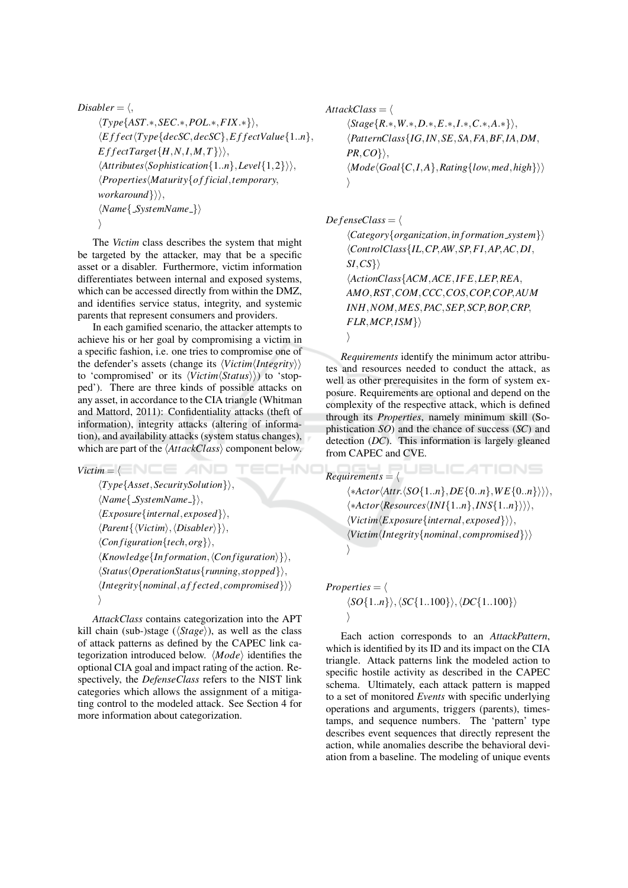$$
\begin{aligned}\n\text{Disabler} &= \langle, \\
\langle Type \{AST.*,SEC.*, POL.*, FIX.*\} \rangle, \\
\langle Effect \langle Type \{decSC, decSC\}, EffectValue\{1..n\}, \\
EffectTarget \{H, N, I, M, T\} \rangle \rangle, \\
\langle Artributes \langle Sophia\{1..n\}, Level\{1,2\} \rangle \rangle, \\
\langle Properties \langle Maturity \{of \, ficial, temporary, \\
workaround \} \rangle \rangle, \\
\langle Name \{SystemName.\} \rangle\n\end{aligned}
$$

The Victim class describes the system that might be targeted by the attacker, may that be a specific asset or a disabler. Furthermore, victim information differentiates between internal and exposed systems, which can be accessed directly from within the DMZ, and identifies service status, integrity, and systemic parents that represent consumers and providers.

In each gamified scenario, the attacker attempts to achieve his or her goal by compromising a victim in a specific fashion, i.e. one tries to compromise one of the defender's assets (change its  $\langle Victor,$  /  $Integrity \rangle$ ) to 'compromised' or its  $\langle Victim \langle Status \rangle \rangle$  to 'stopped'). There are three kinds of possible attacks on any asset, in accordance to the CIA triangle (Whitman and Mattord, 2011): Confidentiality attacks (theft of information), integrity attacks (altering of information), and availability attacks (system status changes), which are part of the  $\langle AttackClass \rangle$  component below.

 $Victim = \langle \blacksquare \blacksquare \blacksquare \blacksquare \blacksquare \blacksquare \blacksquare \blacksquare$ 

 $\langle Type\{ Asset, SecuritySolution\} \rangle,$  $\langle Name\{\ SystemName_{-}\}\rangle,$  $\langle Exposure\{internal, exposed\} \rangle,$  $\langle Parent\{\langle Victim \rangle, \langle Disabler \rangle\} \rangle,$  $\langle Configuration\{tech, org\} \rangle,$  $\langle Knowledge\{Information, \langle Configuration \rangle\}\rangle,$  $\langle Status \langle OperationStatus \{ running, stopped \} \rangle$ ,  $\langle$ *Integrity* $\{nominal, affected, compromised\}$  $\rightarrow$ 

AttackClass contains categorization into the APT kill chain (sub-)stage ( $\langle Stage \rangle$ ), as well as the class of attack patterns as defined by the CAPEC link categorization introduced below.  $\langle Mode \rangle$  identifies the optional CIA goal and impact rating of the action. Respectively, the DefenseClass refers to the NIST link categories which allows the assignment of a mitigating control to the modeled attack. See Section 4 for more information about categorization.

AttackClass =  $\langle$  $\langle Stage{R,*,W,*,D,*,E,*,I,*,C,*,A,*}\rangle$ {PatternClass{IG, IN, SE, SA, FA, BF, IA, DM,  $PR, CO\},$  $\langle Mode \langle Goal\{C,I,A\},Rating\{low,med,high\} \rangle \rangle$  $\setminus$ 

 $DefenseClass = \langle$ 

HNIC

 $\langle Category\{organization, information\_system\}\rangle$  $\langle ControlClass\{IL, CP, AW, SP, FI, AP, AC, DI,$  $SI, CS$ } ActionClass{ACM, ACE, IFE, LEP, REA, AMO, RST, COM, CCC, COS, COP, COP, AUM INH, NOM, MES, PAC, SEP, SCP, BOP, CRP,  $FLR, MCP, ISM$ }  $\left\langle \right\rangle$ 

Requirements identify the minimum actor attributes and resources needed to conduct the attack, as well as other prerequisites in the form of system exposure. Requirements are optional and depend on the complexity of the respective attack, which is defined through its *Properties*, namely minimum skill (Sophistication  $SO$ ) and the chance of success  $(SC)$  and detection  $(DC)$ . This information is largely gleaned from CAPEC and CVE.

**JBLICATIONS**  $Requirements = \langle$  $\langle * Actor\langle Attr.\langle SO{1..n}, DE{0..n}, WE{0..n} \rangle \rangle \rangle,$  $\langle * Actor \langle Resources \langle INI{1..n}, INS{1..n} \rangle \rangle \rangle,$  $\langle Victim \langle Exposure\{internal, exposed\} \rangle \rangle,$  $\langle Victim\langle Integritv\{nominal, compromised\} \rangle \rangle$ 

$$
Properties = \langle \langle SO{1..n}\rangle, \langle SC{1..100}\rangle, \langle DC{1..100}\rangle \rangle
$$

Each action corresponds to an AttackPattern, which is identified by its ID and its impact on the CIA triangle. Attack patterns link the modeled action to specific hostile activity as described in the CAPEC schema. Ultimately, each attack pattern is mapped to a set of monitored Events with specific underlying operations and arguments, triggers (parents), timestamps, and sequence numbers. The 'pattern' type describes event sequences that directly represent the action, while anomalies describe the behavioral deviation from a baseline. The modeling of unique events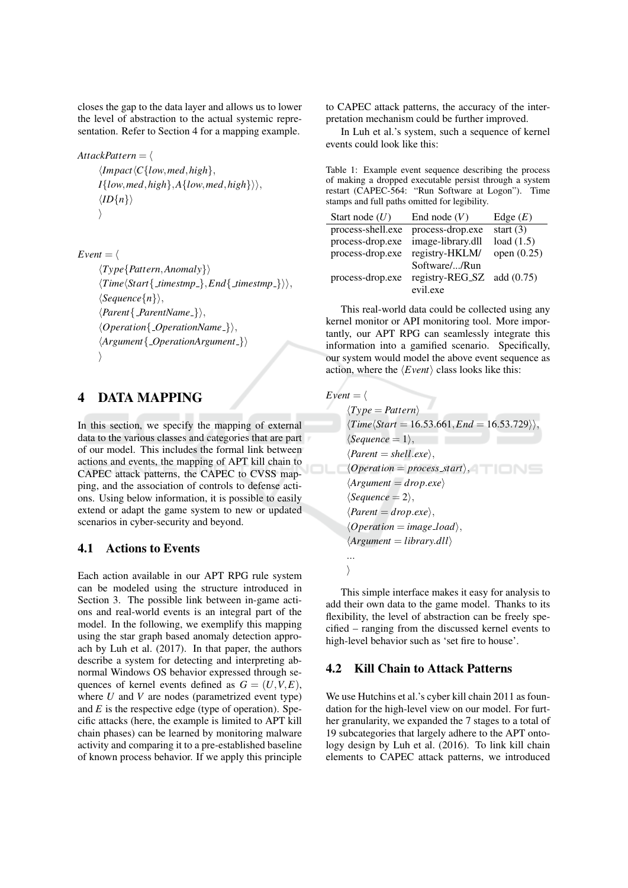closes the gap to the data layer and allows us to lower the level of abstraction to the actual systemic representation. Refer to Section 4 for a mapping example.

AttackPattern =  $\langle$  $\langle Impact\langle C\{low,med,high\},\rangle$  $I\{low, med, high\}, A\{low, med, high\}\rangle,$  $\langle ID\{n\}\rangle$  $\rangle$ 

```
Event = \langle\langle Type\{Pattern, Anomaly \} \rangle\langle Time\langle Start\{\_times mestmp\_\},End\{\_times mestmp\_\}\rangle\rangle.
       \langle Sequence\{n\}\rangle,
       \langle Parent{ParentName_{-}}\rangle,\langle Operation{OperationName} \rangle,
       \langle Argument\{\_OperationArgument\}\rangle\setminus
```
#### **DATA MAPPING**  $\overline{\mathbf{4}}$

In this section, we specify the mapping of external data to the various classes and categories that are part of our model. This includes the formal link between actions and events, the mapping of APT kill chain to CAPEC attack patterns, the CAPEC to CVSS mapping, and the association of controls to defense actions. Using below information, it is possible to easily extend or adapt the game system to new or updated scenarios in cyber-security and beyond.

#### $4.1$ **Actions to Events**

Each action available in our APT RPG rule system can be modeled using the structure introduced in Section 3. The possible link between in-game actions and real-world events is an integral part of the model. In the following, we exemplify this mapping using the star graph based anomaly detection approach by Luh et al. (2017). In that paper, the authors describe a system for detecting and interpreting abnormal Windows OS behavior expressed through sequences of kernel events defined as  $G = (U, V, E)$ , where  $U$  and  $V$  are nodes (parametrized event type) and  $E$  is the respective edge (type of operation). Specific attacks (here, the example is limited to APT kill chain phases) can be learned by monitoring malware activity and comparing it to a pre-established baseline of known process behavior. If we apply this principle

to CAPEC attack patterns, the accuracy of the interpretation mechanism could be further improved.

In Luh et al.'s system, such a sequence of kernel events could look like this:

| Table 1: Example event sequence describing the process  |
|---------------------------------------------------------|
| of making a dropped executable persist through a system |
| restart (CAPEC-564: "Run Software at Logon"). Time      |
| stamps and full paths omitted for legibility.           |

| Start node $(U)$  | End node $(V)$             | Edge $(E)$    |
|-------------------|----------------------------|---------------|
| process-shell.exe | process-drop.exe           | start $(3)$   |
| process-drop.exe  | image-library.dll          | load $(1.5)$  |
| process-drop.exe  | registry-HKLM/             | open $(0.25)$ |
|                   | Software//Run              |               |
| process-drop.exe  | registry-REG_SZ add (0.75) |               |
|                   | evil.exe                   |               |

This real-world data could be collected using any kernel monitor or API monitoring tool. More importantly, our APT RPG can seamlessly integrate this information into a gamified scenario. Specifically, our system would model the above event sequence as action, where the  $\langle Event \rangle$  class looks like this:

 $Event = \langle$  $\langle Type = Pattern \rangle$  $\langle Time\langle Start = 16.53.661, End = 16.53.729 \rangle$  $\langle Sequence = 1 \rangle,$  $\langle Parent = shell.exe\rangle,$  $\langle Operation = process\_start \rangle,$  $\langle Argument = drop.exe \rangle$  $\langle Sequence = 2 \rangle$ ,  $\langle Parent=drop.exe\rangle,$  $\langle Operation = image\_load \rangle$ ,  $\langle Argument = library. dl \rangle$  $\ddotsc$  $\left\langle \right\rangle$ 

This simple interface makes it easy for analysis to add their own data to the game model. Thanks to its flexibility, the level of abstraction can be freely specified – ranging from the discussed kernel events to high-level behavior such as 'set fire to house'.

#### 4.2 **Kill Chain to Attack Patterns**

We use Hutchins et al.'s cyber kill chain 2011 as foundation for the high-level view on our model. For further granularity, we expanded the 7 stages to a total of 19 subcategories that largely adhere to the APT ontology design by Luh et al. (2016). To link kill chain elements to CAPEC attack patterns, we introduced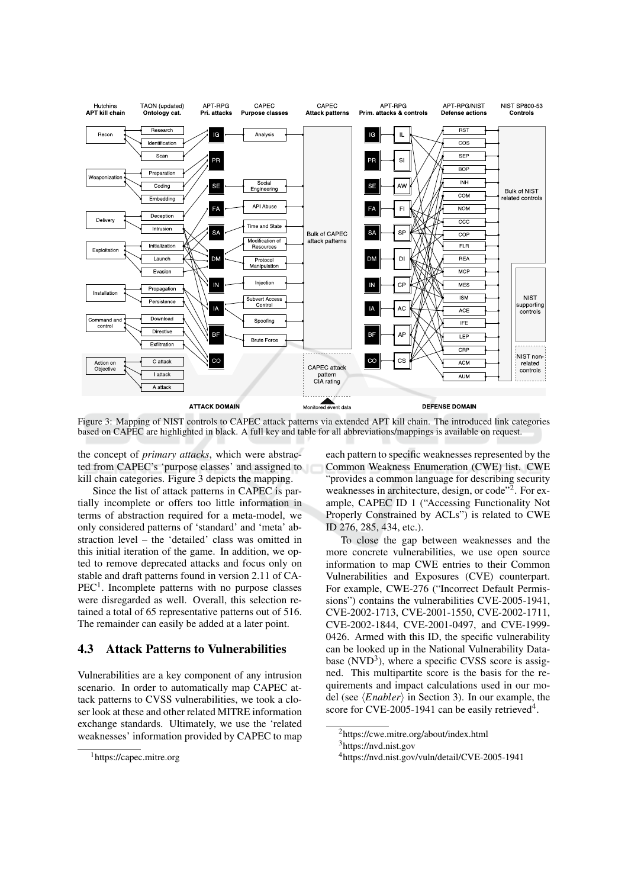

Figure 3: Mapping of NIST controls to CAPEC attack patterns via extended APT kill chain. The introduced link categories based on CAPEC are highlighted in black. A full key and table for all abbreviations/mappings is available on request.

the concept of *primary attacks*, which were abstracted from CAPEC's 'purpose classes' and assigned to kill chain categories. Figure 3 depicts the mapping.

Since the list of attack patterns in CAPEC is partially incomplete or offers too little information in terms of abstraction required for a meta-model, we only considered patterns of 'standard' and 'meta' abstraction level - the 'detailed' class was omitted in this initial iteration of the game. In addition, we opted to remove deprecated attacks and focus only on stable and draft patterns found in version 2.11 of CA- $PEC<sup>1</sup>$ . Incomplete patterns with no purpose classes were disregarded as well. Overall, this selection retained a total of 65 representative patterns out of 516. The remainder can easily be added at a later point.

#### 4.3 **Attack Patterns to Vulnerabilities**

Vulnerabilities are a key component of any intrusion scenario. In order to automatically map CAPEC attack patterns to CVSS vulnerabilities, we took a closer look at these and other related MITRE information exchange standards. Ultimately, we use the 'related weaknesses' information provided by CAPEC to map each pattern to specific weaknesses represented by the Common Weakness Enumeration (CWE) list. CWE "provides a common language for describing security weaknesses in architecture, design, or code"<sup>2</sup>. For example, CAPEC ID 1 ("Accessing Functionality Not Properly Constrained by ACLs") is related to CWE ID 276, 285, 434, etc.).

To close the gap between weaknesses and the more concrete vulnerabilities, we use open source information to map CWE entries to their Common Vulnerabilities and Exposures (CVE) counterpart. For example, CWE-276 ("Incorrect Default Permissions") contains the vulnerabilities CVE-2005-1941, CVE-2002-1713, CVE-2001-1550, CVE-2002-1711, CVE-2002-1844, CVE-2001-0497, and CVE-1999-0426. Armed with this ID, the specific vulnerability can be looked up in the National Vulnerability Database  $(NUD<sup>3</sup>)$ , where a specific CVSS score is assigned. This multipartite score is the basis for the requirements and impact calculations used in our model (see  $\langle Enabler \rangle$  in Section 3). In our example, the score for CVE-2005-1941 can be easily retrieved<sup>4</sup>.

<sup>&</sup>lt;sup>1</sup>https://capec.mitre.org

<sup>&</sup>lt;sup>2</sup>https://cwe.mitre.org/about/index.html

 $3$ https://nvd.nist.gov

<sup>&</sup>lt;sup>4</sup>https://nvd.nist.gov/vuln/detail/CVE-2005-1941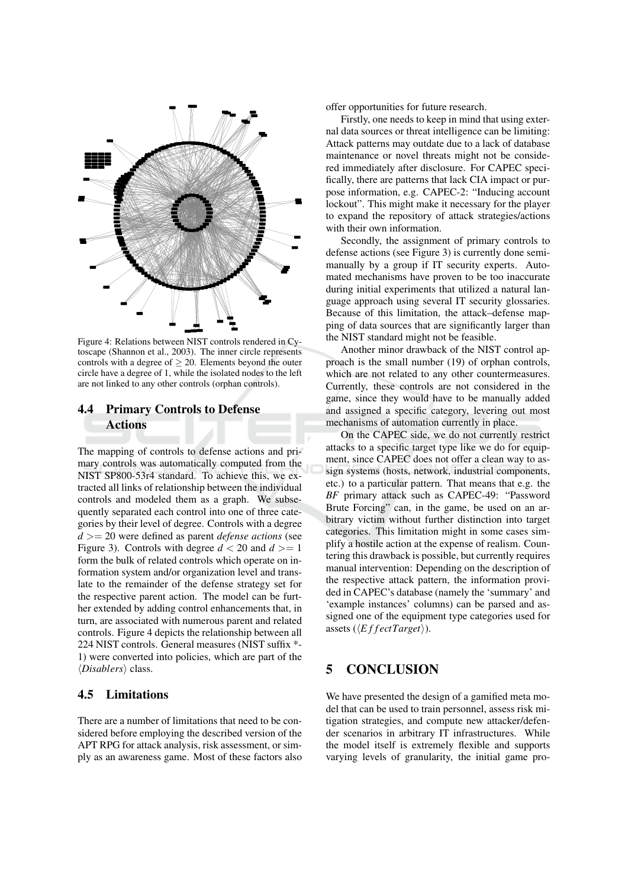

Figure 4: Relations between NIST controls rendered in Cvtoscape (Shannon et al., 2003). The inner circle represents controls with a degree of  $\geq 20$ . Elements beyond the outer circle have a degree of 1, while the isolated nodes to the left are not linked to any other controls (orphan controls).

### **Primary Controls to Defense** 4.4 **Actions**

The mapping of controls to defense actions and primary controls was automatically computed from the NIST SP800-53r4 standard. To achieve this, we extracted all links of relationship between the individual controls and modeled them as a graph. We subsequently separated each control into one of three categories by their level of degree. Controls with a degree  $d \geq 20$  were defined as parent *defense actions* (see Figure 3). Controls with degree  $d < 20$  and  $d > = 1$ form the bulk of related controls which operate on information system and/or organization level and translate to the remainder of the defense strategy set for the respective parent action. The model can be further extended by adding control enhancements that, in turn, are associated with numerous parent and related controls. Figure 4 depicts the relationship between all 224 NIST controls. General measures (NIST suffix \*-1) were converted into policies, which are part of the  $\langle \textit{Disablers} \rangle$  class.

#### 4.5 Limitations

There are a number of limitations that need to be considered before employing the described version of the APT RPG for attack analysis, risk assessment, or simply as an awareness game. Most of these factors also offer opportunities for future research.

Firstly, one needs to keep in mind that using external data sources or threat intelligence can be limiting: Attack patterns may outdate due to a lack of database maintenance or novel threats might not be considered immediately after disclosure. For CAPEC specifically, there are patterns that lack CIA impact or purpose information, e.g. CAPEC-2: "Inducing account lockout". This might make it necessary for the player to expand the repository of attack strategies/actions with their own information.

Secondly, the assignment of primary controls to defense actions (see Figure 3) is currently done semimanually by a group if IT security experts. Automated mechanisms have proven to be too inaccurate during initial experiments that utilized a natural language approach using several IT security glossaries. Because of this limitation, the attack-defense mapping of data sources that are significantly larger than the NIST standard might not be feasible.

Another minor drawback of the NIST control approach is the small number (19) of orphan controls, which are not related to any other countermeasures. Currently, these controls are not considered in the game, since they would have to be manually added and assigned a specific category, levering out most mechanisms of automation currently in place.

On the CAPEC side, we do not currently restrict attacks to a specific target type like we do for equipment, since CAPEC does not offer a clean way to assign systems (hosts, network, industrial components, etc.) to a particular pattern. That means that e.g. the BF primary attack such as CAPEC-49: "Password Brute Forcing" can, in the game, be used on an arbitrary victim without further distinction into target categories. This limitation might in some cases simplify a hostile action at the expense of realism. Countering this drawback is possible, but currently requires manual intervention: Depending on the description of the respective attack pattern, the information provided in CAPEC's database (namely the 'summary' and 'example instances' columns) can be parsed and assigned one of the equipment type categories used for assets ( $\langle EffectTarget \rangle$ ).

#### **CONCLUSION** 5

We have presented the design of a gamified meta model that can be used to train personnel, assess risk mitigation strategies, and compute new attacker/defender scenarios in arbitrary IT infrastructures. While the model itself is extremely flexible and supports varying levels of granularity, the initial game pro